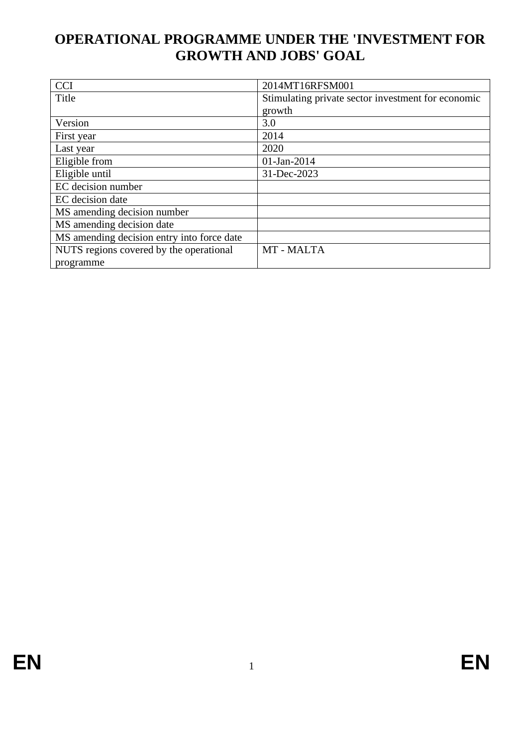# **OPERATIONAL PROGRAMME UNDER THE 'INVESTMENT FOR GROWTH AND JOBS' GOAL**

| <b>CCI</b>                                 | 2014MT16RFSM001                                    |  |  |  |  |  |
|--------------------------------------------|----------------------------------------------------|--|--|--|--|--|
| Title                                      | Stimulating private sector investment for economic |  |  |  |  |  |
|                                            | growth                                             |  |  |  |  |  |
| Version                                    | 3.0                                                |  |  |  |  |  |
| First year                                 | 2014                                               |  |  |  |  |  |
| Last year                                  | 2020                                               |  |  |  |  |  |
| Eligible from                              | 01-Jan-2014                                        |  |  |  |  |  |
| Eligible until                             | 31-Dec-2023                                        |  |  |  |  |  |
| EC decision number                         |                                                    |  |  |  |  |  |
| EC decision date                           |                                                    |  |  |  |  |  |
| MS amending decision number                |                                                    |  |  |  |  |  |
| MS amending decision date                  |                                                    |  |  |  |  |  |
| MS amending decision entry into force date |                                                    |  |  |  |  |  |
| NUTS regions covered by the operational    | MT - MALTA                                         |  |  |  |  |  |
| programme                                  |                                                    |  |  |  |  |  |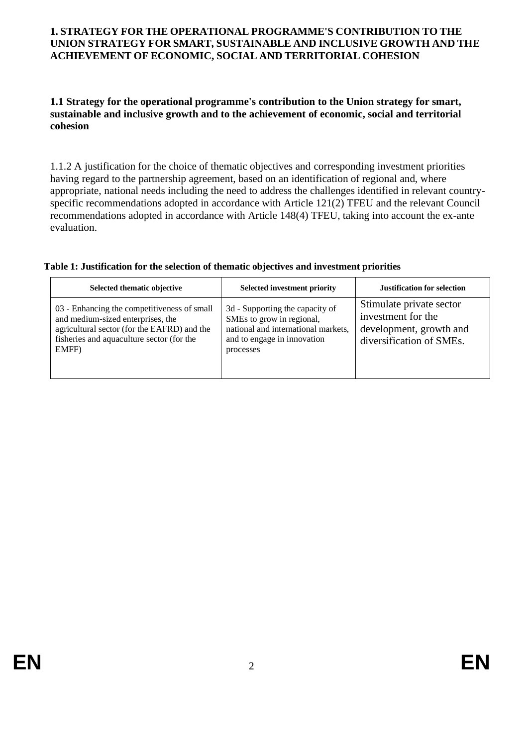#### **1. STRATEGY FOR THE OPERATIONAL PROGRAMME'S CONTRIBUTION TO THE UNION STRATEGY FOR SMART, SUSTAINABLE AND INCLUSIVE GROWTH AND THE ACHIEVEMENT OF ECONOMIC, SOCIAL AND TERRITORIAL COHESION**

#### **1.1 Strategy for the operational programme's contribution to the Union strategy for smart, sustainable and inclusive growth and to the achievement of economic, social and territorial cohesion**

1.1.2 A justification for the choice of thematic objectives and corresponding investment priorities having regard to the partnership agreement, based on an identification of regional and, where appropriate, national needs including the need to address the challenges identified in relevant countryspecific recommendations adopted in accordance with Article 121(2) TFEU and the relevant Council recommendations adopted in accordance with Article 148(4) TFEU, taking into account the ex-ante evaluation.

| Selected thematic objective                                                                                                                                                           | <b>Selected investment priority</b>                                                                                                             | <b>Justification for selection</b>                                                                    |
|---------------------------------------------------------------------------------------------------------------------------------------------------------------------------------------|-------------------------------------------------------------------------------------------------------------------------------------------------|-------------------------------------------------------------------------------------------------------|
| 03 - Enhancing the competitiveness of small<br>and medium-sized enterprises, the<br>agricultural sector (for the EAFRD) and the<br>fisheries and aquaculture sector (for the<br>EMFF) | 3d - Supporting the capacity of<br>SMEs to grow in regional,<br>national and international markets,<br>and to engage in innovation<br>processes | Stimulate private sector<br>investment for the<br>development, growth and<br>diversification of SMEs. |

#### **Table 1: Justification for the selection of thematic objectives and investment priorities**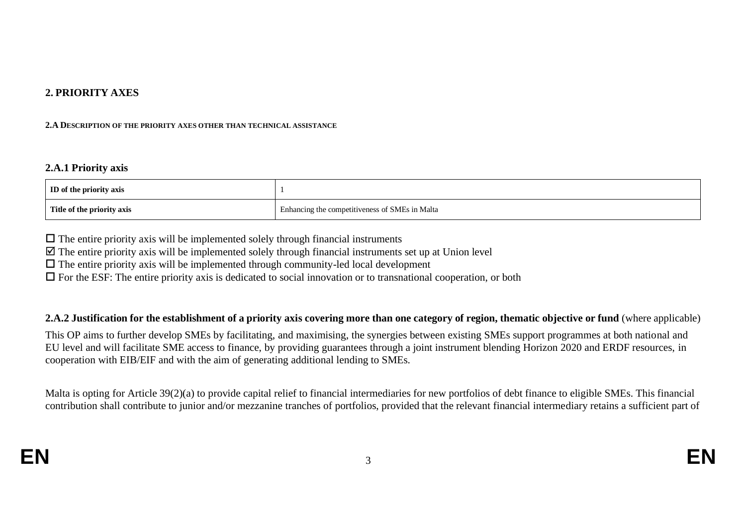#### **2. PRIORITY AXES**

#### **2.A DESCRIPTION OF THE PRIORITY AXES OTHER THAN TECHNICAL ASSISTANCE**

#### **2.A.1 Priority axis**

| <b>ID</b> of the priority axis |                                                |
|--------------------------------|------------------------------------------------|
| Title of the priority axis     | Enhancing the competitiveness of SMEs in Malta |

 $\Box$  The entire priority axis will be implemented solely through financial instruments

 $\boxtimes$  The entire priority axis will be implemented solely through financial instruments set up at Union level

 $\Box$  The entire priority axis will be implemented through community-led local development

 $\Box$  For the ESF: The entire priority axis is dedicated to social innovation or to transnational cooperation, or both

#### **2.A.2 Justification for the establishment of a priority axis covering more than one category of region, thematic objective or fund** (where applicable)

This OP aims to further develop SMEs by facilitating, and maximising, the synergies between existing SMEs support programmes at both national and EU level and will facilitate SME access to finance, by providing guarantees through a joint instrument blending Horizon 2020 and ERDF resources, in cooperation with EIB/EIF and with the aim of generating additional lending to SMEs.

Malta is opting for Article 39(2)(a) to provide capital relief to financial intermediaries for new portfolios of debt finance to eligible SMEs. This financial contribution shall contribute to junior and/or mezzanine tranches of portfolios, provided that the relevant financial intermediary retains a sufficient part of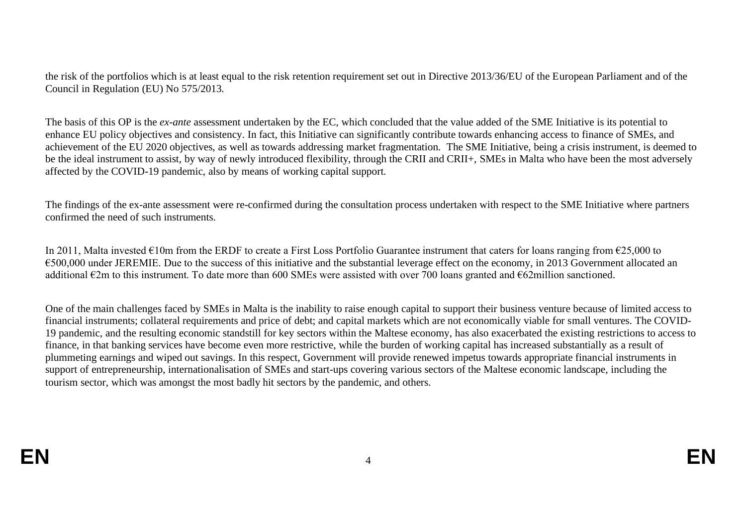the risk of the portfolios which is at least equal to the risk retention requirement set out in Directive 2013/36/EU of the European Parliament and of the Council in Regulation (EU) No 575/2013.

The basis of this OP is the *ex-ante* assessment undertaken by the EC, which concluded that the value added of the SME Initiative is its potential to enhance EU policy objectives and consistency. In fact, this Initiative can significantly contribute towards enhancing access to finance of SMEs, and achievement of the EU 2020 objectives, as well as towards addressing market fragmentation. The SME Initiative, being a crisis instrument, is deemed to be the ideal instrument to assist, by way of newly introduced flexibility, through the CRII and CRII+, SMEs in Malta who have been the most adversely affected by the COVID-19 pandemic, also by means of working capital support.

The findings of the ex-ante assessment were re-confirmed during the consultation process undertaken with respect to the SME Initiative where partners confirmed the need of such instruments.

In 2011, Malta invested €10m from the ERDF to create a First Loss Portfolio Guarantee instrument that caters for loans ranging from €25,000 to €500,000 under JEREMIE. Due to the success of this initiative and the substantial leverage effect on the economy, in 2013 Government allocated an additional €2m to this instrument. To date more than 600 SMEs were assisted with over 700 loans granted and €62million sanctioned.

One of the main challenges faced by SMEs in Malta is the inability to raise enough capital to support their business venture because of limited access to financial instruments; collateral requirements and price of debt; and capital markets which are not economically viable for small ventures. The COVID-19 pandemic, and the resulting economic standstill for key sectors within the Maltese economy, has also exacerbated the existing restrictions to access to finance, in that banking services have become even more restrictive, while the burden of working capital has increased substantially as a result of plummeting earnings and wiped out savings. In this respect, Government will provide renewed impetus towards appropriate financial instruments in support of entrepreneurship, internationalisation of SMEs and start-ups covering various sectors of the Maltese economic landscape, including the tourism sector, which was amongst the most badly hit sectors by the pandemic, and others.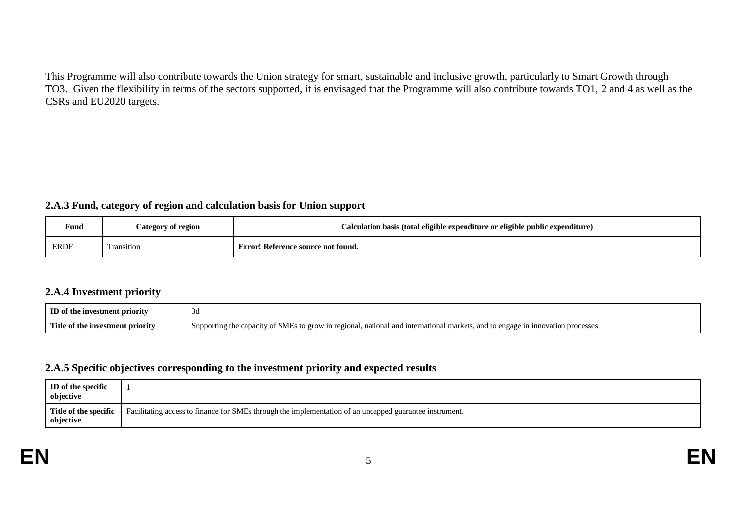This Programme will also contribute towards the Union strategy for smart, sustainable and inclusive growth, particularly to Smart Growth through TO3. Given the flexibility in terms of the sectors supported, it is envisaged that the Programme will also contribute towards TO1, 2 and 4 as well as the CSRs and EU2020 targets.

#### **2.A.3 Fund, category of region and calculation basis for Union support**

| <b>Fund</b>  | Category of region | Calculation basis (total eligible expenditure or eligible public expenditure) |
|--------------|--------------------|-------------------------------------------------------------------------------|
| ${\tt ERDF}$ | ransition          | Error! Reference source not found.                                            |

#### **2.A.4 Investment priority**

| Ю<br>stment priority<br>ωt<br>∙ шv.     | - Ju                                                                                                                                                     |
|-----------------------------------------|----------------------------------------------------------------------------------------------------------------------------------------------------------|
| Title<br>stment priority.<br>mv<br>T.NG | mork<br>national<br>innovation proc<br>and international<br>regiona.<br>and<br>, ens<br>\'\'In<br>$\alpha$<br>SMI<br>ocesses<br>JDOITIN9.<br>grow<br>ືບຟ |

#### **2.A.5 Specific objectives corresponding to the investment priority and expected results**

| <b>ID</b> of the specific<br>objective |                                                                                                         |
|----------------------------------------|---------------------------------------------------------------------------------------------------------|
| Title of the specific<br>objective     | Facilitating access to finance for SMEs through the implementation of an uncapped guarantee instrument. |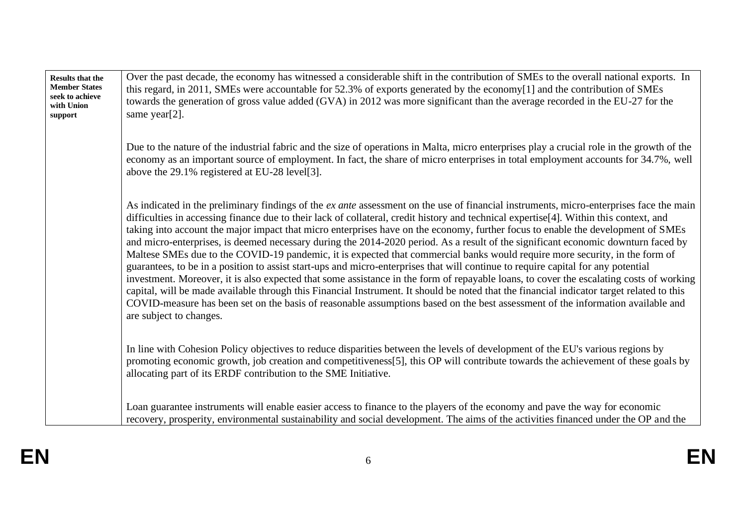| <b>Results that the</b><br><b>Member States</b><br>seek to achieve<br>with Union<br>support | Over the past decade, the economy has witnessed a considerable shift in the contribution of SMEs to the overall national exports. In<br>this regard, in 2011, SMEs were accountable for 52.3% of exports generated by the economy[1] and the contribution of SMEs<br>towards the generation of gross value added (GVA) in 2012 was more significant than the average recorded in the EU-27 for the<br>same year[2].                                                                                                                                                                                                                                                                                                                                                                                                                                                                                                                                                                                                                                                                                                                                                                                                                                                                  |
|---------------------------------------------------------------------------------------------|--------------------------------------------------------------------------------------------------------------------------------------------------------------------------------------------------------------------------------------------------------------------------------------------------------------------------------------------------------------------------------------------------------------------------------------------------------------------------------------------------------------------------------------------------------------------------------------------------------------------------------------------------------------------------------------------------------------------------------------------------------------------------------------------------------------------------------------------------------------------------------------------------------------------------------------------------------------------------------------------------------------------------------------------------------------------------------------------------------------------------------------------------------------------------------------------------------------------------------------------------------------------------------------|
|                                                                                             | Due to the nature of the industrial fabric and the size of operations in Malta, micro enterprises play a crucial role in the growth of the<br>economy as an important source of employment. In fact, the share of micro enterprises in total employment accounts for 34.7%, well<br>above the 29.1% registered at EU-28 level[3].                                                                                                                                                                                                                                                                                                                                                                                                                                                                                                                                                                                                                                                                                                                                                                                                                                                                                                                                                    |
|                                                                                             | As indicated in the preliminary findings of the ex ante assessment on the use of financial instruments, micro-enterprises face the main<br>difficulties in accessing finance due to their lack of collateral, credit history and technical expertise[4]. Within this context, and<br>taking into account the major impact that micro enterprises have on the economy, further focus to enable the development of SMEs<br>and micro-enterprises, is deemed necessary during the 2014-2020 period. As a result of the significant economic downturn faced by<br>Maltese SMEs due to the COVID-19 pandemic, it is expected that commercial banks would require more security, in the form of<br>guarantees, to be in a position to assist start-ups and micro-enterprises that will continue to require capital for any potential<br>investment. Moreover, it is also expected that some assistance in the form of repayable loans, to cover the escalating costs of working<br>capital, will be made available through this Financial Instrument. It should be noted that the financial indicator target related to this<br>COVID-measure has been set on the basis of reasonable assumptions based on the best assessment of the information available and<br>are subject to changes. |
|                                                                                             | In line with Cohesion Policy objectives to reduce disparities between the levels of development of the EU's various regions by<br>promoting economic growth, job creation and competitiveness[5], this OP will contribute towards the achievement of these goals by<br>allocating part of its ERDF contribution to the SME Initiative.                                                                                                                                                                                                                                                                                                                                                                                                                                                                                                                                                                                                                                                                                                                                                                                                                                                                                                                                               |
|                                                                                             | Loan guarantee instruments will enable easier access to finance to the players of the economy and pave the way for economic<br>recovery, prosperity, environmental sustainability and social development. The aims of the activities financed under the OP and the                                                                                                                                                                                                                                                                                                                                                                                                                                                                                                                                                                                                                                                                                                                                                                                                                                                                                                                                                                                                                   |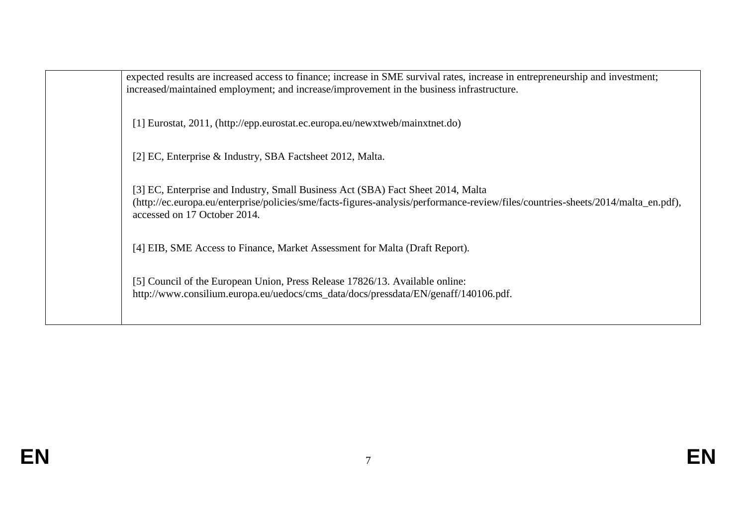expected results are increased access to finance; increase in SME survival rates, increase in entrepreneurship and investment; increased/maintained employment; and increase/improvement in the business infrastructure.

[1] Eurostat, 2011, (http://epp.eurostat.ec.europa.eu/newxtweb/mainxtnet.do)

[2] EC, Enterprise & Industry, SBA Factsheet 2012, Malta.

[3] EC, Enterprise and Industry, Small Business Act (SBA) Fact Sheet 2014, Malta (http://ec.europa.eu/enterprise/policies/sme/facts-figures-analysis/performance-review/files/countries-sheets/2014/malta\_en.pdf), accessed on 17 October 2014.

[4] EIB, SME Access to Finance, Market Assessment for Malta (Draft Report).

[5] Council of the European Union, Press Release 17826/13. Available online: http://www.consilium.europa.eu/uedocs/cms\_data/docs/pressdata/EN/genaff/140106.pdf.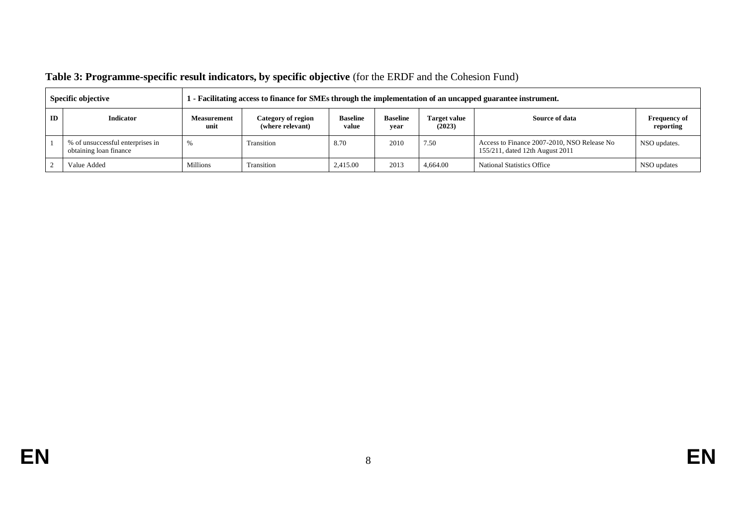|    | Specific objective                                         |                            | - Facilitating access to finance for SMEs through the implementation of an uncapped guarantee instrument. |                          |                         |                               |                                                                                |                                  |  |  |  |
|----|------------------------------------------------------------|----------------------------|-----------------------------------------------------------------------------------------------------------|--------------------------|-------------------------|-------------------------------|--------------------------------------------------------------------------------|----------------------------------|--|--|--|
| ID | Indicator                                                  | <b>Measurement</b><br>unit | Category of region<br>(where relevant)                                                                    | <b>Baseline</b><br>value | <b>Baseline</b><br>vear | <b>Target value</b><br>(2023) | Source of data                                                                 | <b>Frequency of</b><br>reporting |  |  |  |
|    | % of unsuccessful enterprises in<br>obtaining loan finance | Yc                         |                                                                                                           | 8.70                     | 2010                    | 7.50                          | Access to Finance 2007-2010, NSO Release No<br>155/211, dated 12th August 2011 | NSO updates.                     |  |  |  |
|    | Value Added                                                | Millions                   | Transition                                                                                                | 2.415.00                 | 2013                    | 4,664.00                      | National Statistics Office                                                     | NSO updates                      |  |  |  |

# **Table 3: Programme-specific result indicators, by specific objective** (for the ERDF and the Cohesion Fund)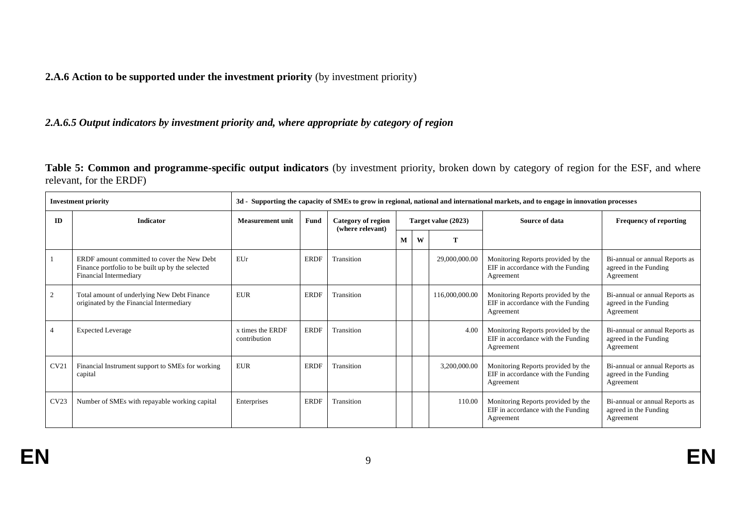**2.A.6 Action to be supported under the investment priority** (by investment priority)

*2.A.6.5 Output indicators by investment priority and, where appropriate by category of region*

**Table 5: Common and programme-specific output indicators** (by investment priority, broken down by category of region for the ESF, and where relevant, for the ERDF)

| <b>Investment priority</b> |                                                                                                                           | 3d - Supporting the capacity of SMEs to grow in regional, national and international markets, and to engage in innovation processes |             |                                        |   |                     |                |                                                                                       |                                                                      |  |  |                |                               |
|----------------------------|---------------------------------------------------------------------------------------------------------------------------|-------------------------------------------------------------------------------------------------------------------------------------|-------------|----------------------------------------|---|---------------------|----------------|---------------------------------------------------------------------------------------|----------------------------------------------------------------------|--|--|----------------|-------------------------------|
| <b>ID</b>                  | <b>Indicator</b>                                                                                                          | <b>Measurement unit</b>                                                                                                             | Fund        | Category of region<br>(where relevant) |   | Target value (2023) |                |                                                                                       |                                                                      |  |  | Source of data | <b>Frequency of reporting</b> |
|                            |                                                                                                                           |                                                                                                                                     |             |                                        | M | W                   | T              |                                                                                       |                                                                      |  |  |                |                               |
|                            | ERDF amount committed to cover the New Debt<br>Finance portfolio to be built up by the selected<br>Financial Intermediary | EUr                                                                                                                                 | <b>ERDF</b> | Transition                             |   |                     | 29,000,000.00  | Monitoring Reports provided by the<br>EIF in accordance with the Funding<br>Agreement | Bi-annual or annual Reports as<br>agreed in the Funding<br>Agreement |  |  |                |                               |
| 2                          | Total amount of underlying New Debt Finance<br>originated by the Financial Intermediary                                   | <b>EUR</b>                                                                                                                          | <b>ERDF</b> | Transition                             |   |                     | 116,000,000.00 | Monitoring Reports provided by the<br>EIF in accordance with the Funding<br>Agreement | Bi-annual or annual Reports as<br>agreed in the Funding<br>Agreement |  |  |                |                               |
|                            | <b>Expected Leverage</b>                                                                                                  | x times the ERDF<br>contribution                                                                                                    | <b>ERDF</b> | Transition                             |   |                     | 4.00           | Monitoring Reports provided by the<br>EIF in accordance with the Funding<br>Agreement | Bi-annual or annual Reports as<br>agreed in the Funding<br>Agreement |  |  |                |                               |
| CV21                       | Financial Instrument support to SMEs for working<br>capital                                                               | <b>EUR</b>                                                                                                                          | <b>ERDF</b> | Transition                             |   | 3,200,000.00        |                | Monitoring Reports provided by the<br>EIF in accordance with the Funding<br>Agreement | Bi-annual or annual Reports as<br>agreed in the Funding<br>Agreement |  |  |                |                               |
| CV23                       | Number of SMEs with repayable working capital                                                                             | Enterprises                                                                                                                         | <b>ERDF</b> | Transition                             |   |                     | 110.00         | Monitoring Reports provided by the<br>EIF in accordance with the Funding<br>Agreement | Bi-annual or annual Reports as<br>agreed in the Funding<br>Agreement |  |  |                |                               |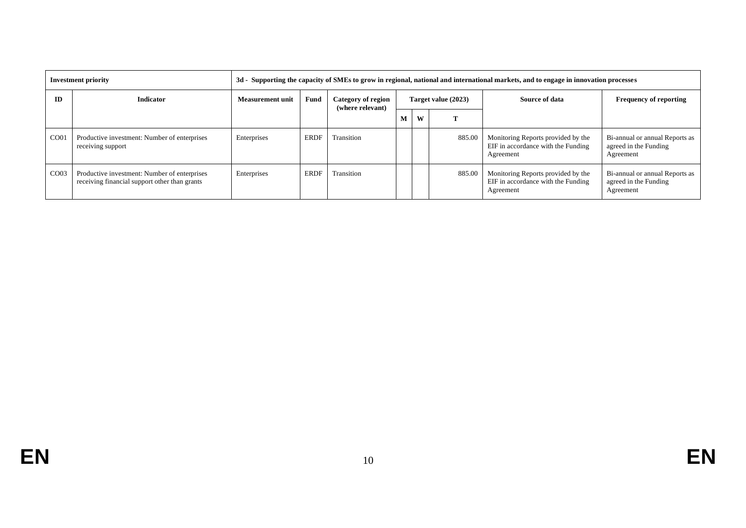| <b>Investment priority</b> |                                                                                               | 3d - Supporting the capacity of SMEs to grow in regional, national and international markets, and to engage in innovation processes |                                                                              |            |   |        |        |                                                                                       |                                                                      |  |                |                               |
|----------------------------|-----------------------------------------------------------------------------------------------|-------------------------------------------------------------------------------------------------------------------------------------|------------------------------------------------------------------------------|------------|---|--------|--------|---------------------------------------------------------------------------------------|----------------------------------------------------------------------|--|----------------|-------------------------------|
| ID                         | <b>Indicator</b>                                                                              |                                                                                                                                     | Fund<br>Category of region<br>Target value (2023)<br><b>Measurement unit</b> |            |   |        |        |                                                                                       | (where relevant)                                                     |  | Source of data | <b>Frequency of reporting</b> |
|                            |                                                                                               |                                                                                                                                     |                                                                              |            | M | W<br>m |        |                                                                                       |                                                                      |  |                |                               |
| CO <sub>01</sub>           | Productive investment: Number of enterprises<br>receiving support                             | Enterprises                                                                                                                         | <b>ERDF</b>                                                                  | Transition |   |        | 885.00 | Monitoring Reports provided by the<br>EIF in accordance with the Funding<br>Agreement | Bi-annual or annual Reports as<br>agreed in the Funding<br>Agreement |  |                |                               |
| CO <sub>03</sub>           | Productive investment: Number of enterprises<br>receiving financial support other than grants | Enterprises                                                                                                                         | <b>ERDF</b>                                                                  | Transition |   |        | 885.00 | Monitoring Reports provided by the<br>EIF in accordance with the Funding<br>Agreement | Bi-annual or annual Reports as<br>agreed in the Funding<br>Agreement |  |                |                               |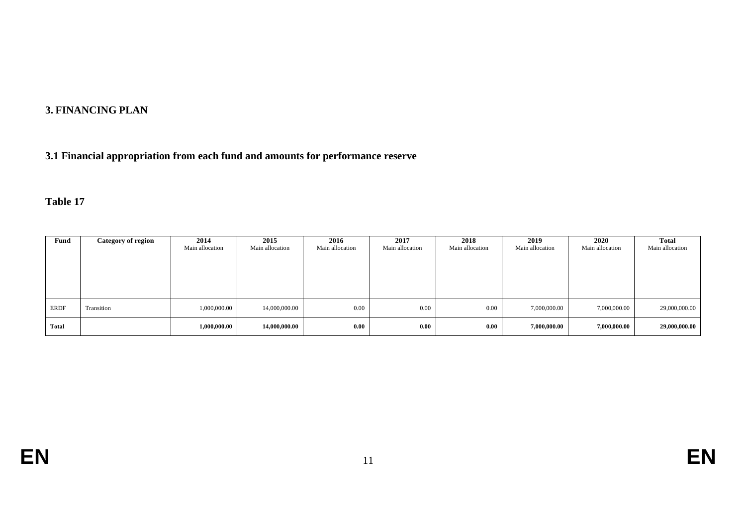# **3. FINANCING PLAN**

# **3.1 Financial appropriation from each fund and amounts for performance reserve**

# **Table 17**

| Fund        | <b>Category of region</b> | 2014<br>Main allocation | 2015<br>Main allocation | 2016<br>Main allocation | 2017<br>Main allocation | 2018<br>Main allocation | 2019<br>Main allocation | 2020<br>Main allocation | <b>Total</b><br>Main allocation |
|-------------|---------------------------|-------------------------|-------------------------|-------------------------|-------------------------|-------------------------|-------------------------|-------------------------|---------------------------------|
| <b>ERDF</b> | Transition                | 1,000,000.00            | 14,000,000.00           | 0.00                    | 0.00                    | 0.00                    | 7,000,000.00            | 7,000,000.00            | 29,000,000.00                   |
| Total       |                           | 1,000,000.00            | 14,000,000.00           | 0.00                    | 0.00                    | 0.00                    | 7,000,000.00            | 7,000,000.00            | 29,000,000.00                   |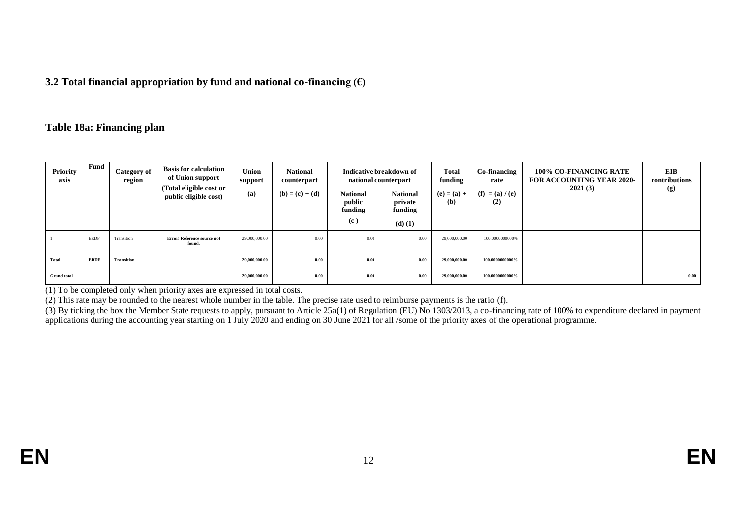#### **3.2 Total financial appropriation by fund and national co-financing (€)**

#### **Table 18a: Financing plan**

| Priority<br>axis   | Fund        | Category of<br>region | <b>Basis for calculation</b><br>of Union support | Union<br>support | <b>National</b><br>counterpart |                                      | Indicative breakdown of<br>national counterpart | <b>Total</b><br>funding | Co-financing<br>rate<br>$(f) = (a) / (e)$<br>(2) | <b>100% CO-FINANCING RATE</b><br><b>FOR ACCOUNTING YEAR 2020-</b><br>2021(3) | <b>EIB</b><br>contributions |
|--------------------|-------------|-----------------------|--------------------------------------------------|------------------|--------------------------------|--------------------------------------|-------------------------------------------------|-------------------------|--------------------------------------------------|------------------------------------------------------------------------------|-----------------------------|
|                    |             |                       | (Total eligible cost or<br>public eligible cost) | (a)              | $(b) = (c) + (d)$              | <b>National</b><br>public<br>funding | <b>National</b><br>private<br>funding           | $(e) = (a) +$<br>(b)    |                                                  |                                                                              | (g)                         |
|                    |             |                       |                                                  |                  |                                | (c)                                  | $(d)$ $(1)$                                     |                         |                                                  |                                                                              |                             |
|                    | <b>ERDF</b> | Transition            | Error! Reference source not<br>found.            | 29,000,000.00    | 0.00                           | 0.00                                 | 0.00                                            | 29,000,000.00           | 100.0000000000%                                  |                                                                              |                             |
| Total              | <b>ERDF</b> | <b>Transition</b>     |                                                  | 29,000,000.00    | 0.00                           | 0.00                                 | 0.00                                            | 29,000,000.00           | 100.0000000000%                                  |                                                                              |                             |
| <b>Grand</b> total |             |                       |                                                  | 29,000,000.00    | 0.00                           | 0.00                                 | 0.00                                            | 29,000,000.00           | 100.0000000000%                                  |                                                                              | 0.00                        |

(1) To be completed only when priority axes are expressed in total costs.

(2) This rate may be rounded to the nearest whole number in the table. The precise rate used to reimburse payments is the ratio (f).

(3) By ticking the box the Member State requests to apply, pursuant to Article 25a(1) of Regulation (EU) No 1303/2013, a co-financing rate of 100% to expenditure declared in payment applications during the accounting year starting on 1 July 2020 and ending on 30 June 2021 for all /some of the priority axes of the operational programme.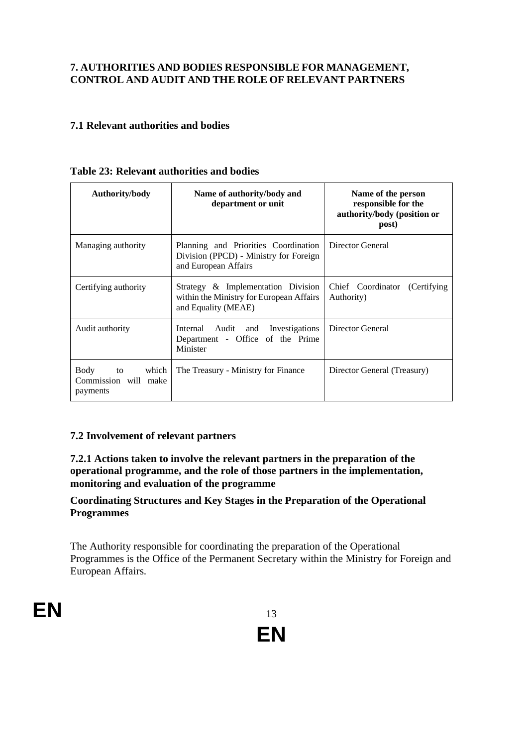## **7. AUTHORITIES AND BODIES RESPONSIBLE FOR MANAGEMENT, CONTROL AND AUDIT AND THE ROLE OF RELEVANT PARTNERS**

## **7.1 Relevant authorities and bodies**

| Authority/body                                             | Name of authority/body and<br>department or unit                                                       | Name of the person<br>responsible for the<br>authority/body (position or<br>post) |
|------------------------------------------------------------|--------------------------------------------------------------------------------------------------------|-----------------------------------------------------------------------------------|
| Managing authority                                         | Planning and Priorities Coordination<br>Division (PPCD) - Ministry for Foreign<br>and European Affairs | Director General                                                                  |
| Certifying authority                                       | Strategy & Implementation Division<br>within the Ministry for European Affairs<br>and Equality (MEAE)  | Chief Coordinator (Certifying<br>Authority)                                       |
| Audit authority                                            | Internal Audit and Investigations<br>Department - Office of the Prime<br>Minister                      | Director General                                                                  |
| Body<br>which<br>to to<br>Commission will make<br>payments | The Treasury - Ministry for Finance                                                                    | Director General (Treasury)                                                       |

#### **Table 23: Relevant authorities and bodies**

#### **7.2 Involvement of relevant partners**

**7.2.1 Actions taken to involve the relevant partners in the preparation of the operational programme, and the role of those partners in the implementation, monitoring and evaluation of the programme**

#### **Coordinating Structures and Key Stages in the Preparation of the Operational Programmes**

The Authority responsible for coordinating the preparation of the Operational Programmes is the Office of the Permanent Secretary within the Ministry for Foreign and European Affairs.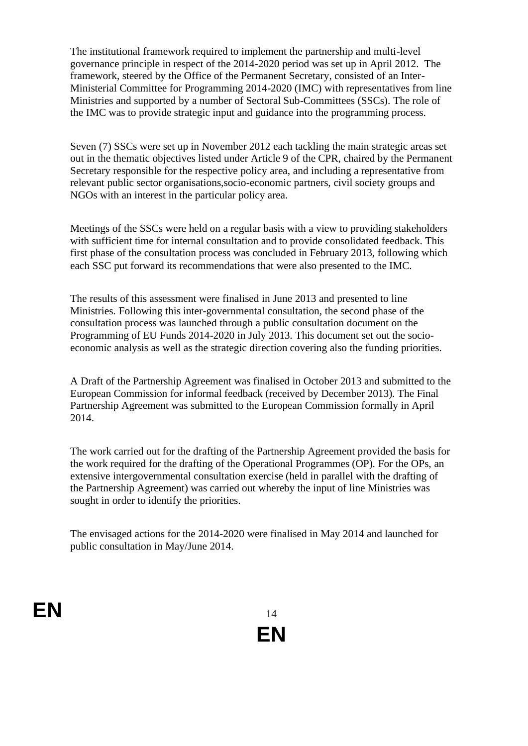The institutional framework required to implement the partnership and multi-level governance principle in respect of the 2014-2020 period was set up in April 2012. The framework, steered by the Office of the Permanent Secretary, consisted of an Inter-Ministerial Committee for Programming 2014-2020 (IMC) with representatives from line Ministries and supported by a number of Sectoral Sub-Committees (SSCs). The role of the IMC was to provide strategic input and guidance into the programming process.

Seven (7) SSCs were set up in November 2012 each tackling the main strategic areas set out in the thematic objectives listed under Article 9 of the CPR, chaired by the Permanent Secretary responsible for the respective policy area, and including a representative from relevant public sector organisations,socio-economic partners, civil society groups and NGOs with an interest in the particular policy area.

Meetings of the SSCs were held on a regular basis with a view to providing stakeholders with sufficient time for internal consultation and to provide consolidated feedback. This first phase of the consultation process was concluded in February 2013, following which each SSC put forward its recommendations that were also presented to the IMC.

The results of this assessment were finalised in June 2013 and presented to line Ministries. Following this inter-governmental consultation, the second phase of the consultation process was launched through a public consultation document on the Programming of EU Funds 2014-2020 in July 2013. This document set out the socioeconomic analysis as well as the strategic direction covering also the funding priorities.

A Draft of the Partnership Agreement was finalised in October 2013 and submitted to the European Commission for informal feedback (received by December 2013). The Final Partnership Agreement was submitted to the European Commission formally in April 2014.

The work carried out for the drafting of the Partnership Agreement provided the basis for the work required for the drafting of the Operational Programmes (OP). For the OPs, an extensive intergovernmental consultation exercise (held in parallel with the drafting of the Partnership Agreement) was carried out whereby the input of line Ministries was sought in order to identify the priorities.

The envisaged actions for the 2014-2020 were finalised in May 2014 and launched for public consultation in May/June 2014.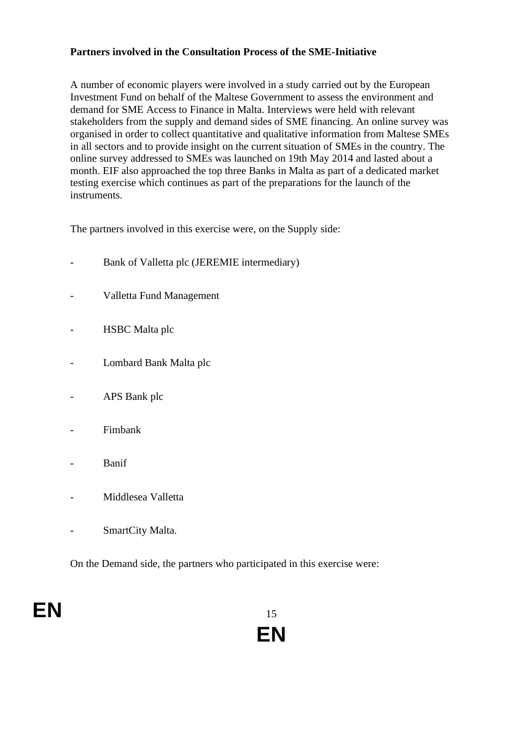### **Partners involved in the Consultation Process of the SME-Initiative**

A number of economic players were involved in a study carried out by the European Investment Fund on behalf of the Maltese Government to assess the environment and demand for SME Access to Finance in Malta. Interviews were held with relevant stakeholders from the supply and demand sides of SME financing. An online survey was organised in order to collect quantitative and qualitative information from Maltese SMEs in all sectors and to provide insight on the current situation of SMEs in the country. The online survey addressed to SMEs was launched on 19th May 2014 and lasted about a month. EIF also approached the top three Banks in Malta as part of a dedicated market testing exercise which continues as part of the preparations for the launch of the instruments.

The partners involved in this exercise were, on the Supply side:

- Bank of Valletta plc (JEREMIE intermediary)
- Valletta Fund Management
- HSBC Malta plc
- Lombard Bank Malta plc
- APS Bank plc
- Fimbank
- **Banif**
- Middlesea Valletta
- SmartCity Malta.

On the Demand side, the partners who participated in this exercise were:

# **EN** 15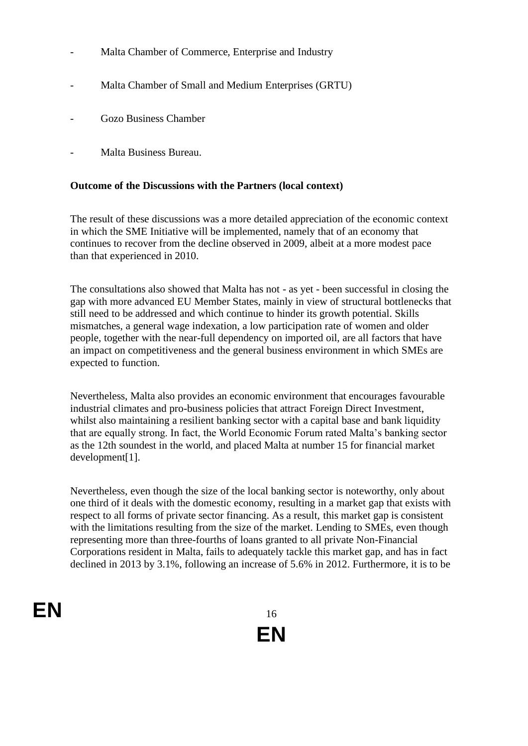- Malta Chamber of Commerce, Enterprise and Industry
- Malta Chamber of Small and Medium Enterprises (GRTU)
- Gozo Business Chamber
- Malta Business Bureau.

#### **Outcome of the Discussions with the Partners (local context)**

The result of these discussions was a more detailed appreciation of the economic context in which the SME Initiative will be implemented, namely that of an economy that continues to recover from the decline observed in 2009, albeit at a more modest pace than that experienced in 2010.

The consultations also showed that Malta has not - as yet - been successful in closing the gap with more advanced EU Member States, mainly in view of structural bottlenecks that still need to be addressed and which continue to hinder its growth potential. Skills mismatches, a general wage indexation, a low participation rate of women and older people, together with the near-full dependency on imported oil, are all factors that have an impact on competitiveness and the general business environment in which SMEs are expected to function.

Nevertheless, Malta also provides an economic environment that encourages favourable industrial climates and pro-business policies that attract Foreign Direct Investment, whilst also maintaining a resilient banking sector with a capital base and bank liquidity that are equally strong. In fact, the World Economic Forum rated Malta's banking sector as the 12th soundest in the world, and placed Malta at number 15 for financial market development[1].

Nevertheless, even though the size of the local banking sector is noteworthy, only about one third of it deals with the domestic economy, resulting in a market gap that exists with respect to all forms of private sector financing. As a result, this market gap is consistent with the limitations resulting from the size of the market. Lending to SMEs, even though representing more than three-fourths of loans granted to all private Non-Financial Corporations resident in Malta, fails to adequately tackle this market gap, and has in fact declined in 2013 by 3.1%, following an increase of 5.6% in 2012. Furthermore, it is to be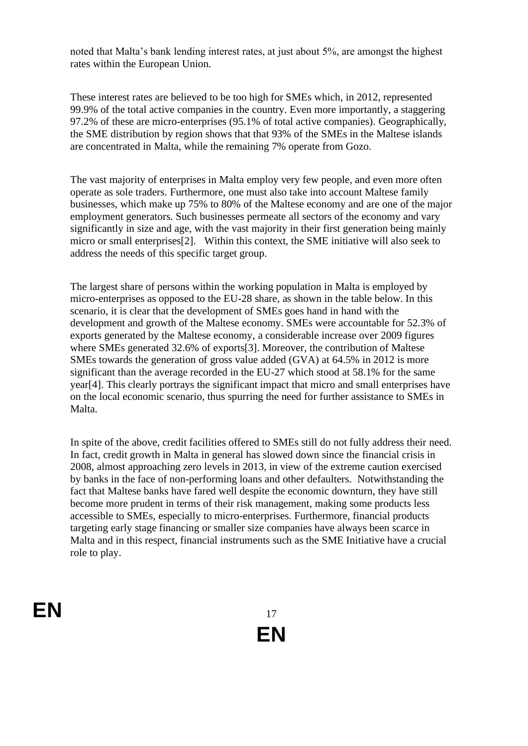noted that Malta's bank lending interest rates, at just about 5%, are amongst the highest rates within the European Union.

These interest rates are believed to be too high for SMEs which, in 2012, represented 99.9% of the total active companies in the country. Even more importantly, a staggering 97.2% of these are micro-enterprises (95.1% of total active companies). Geographically, the SME distribution by region shows that that 93% of the SMEs in the Maltese islands are concentrated in Malta, while the remaining 7% operate from Gozo.

The vast majority of enterprises in Malta employ very few people, and even more often operate as sole traders. Furthermore, one must also take into account Maltese family businesses, which make up 75% to 80% of the Maltese economy and are one of the major employment generators. Such businesses permeate all sectors of the economy and vary significantly in size and age, with the vast majority in their first generation being mainly micro or small enterprises[2]. Within this context, the SME initiative will also seek to address the needs of this specific target group.

The largest share of persons within the working population in Malta is employed by micro-enterprises as opposed to the EU-28 share, as shown in the table below. In this scenario, it is clear that the development of SMEs goes hand in hand with the development and growth of the Maltese economy. SMEs were accountable for 52.3% of exports generated by the Maltese economy, a considerable increase over 2009 figures where SMEs generated 32.6% of exports[3]. Moreover, the contribution of Maltese SMEs towards the generation of gross value added (GVA) at 64.5% in 2012 is more significant than the average recorded in the EU-27 which stood at 58.1% for the same year[4]. This clearly portrays the significant impact that micro and small enterprises have on the local economic scenario, thus spurring the need for further assistance to SMEs in Malta.

In spite of the above, credit facilities offered to SMEs still do not fully address their need. In fact, credit growth in Malta in general has slowed down since the financial crisis in 2008, almost approaching zero levels in 2013, in view of the extreme caution exercised by banks in the face of non-performing loans and other defaulters. Notwithstanding the fact that Maltese banks have fared well despite the economic downturn, they have still become more prudent in terms of their risk management, making some products less accessible to SMEs, especially to micro-enterprises. Furthermore, financial products targeting early stage financing or smaller size companies have always been scarce in Malta and in this respect, financial instruments such as the SME Initiative have a crucial role to play.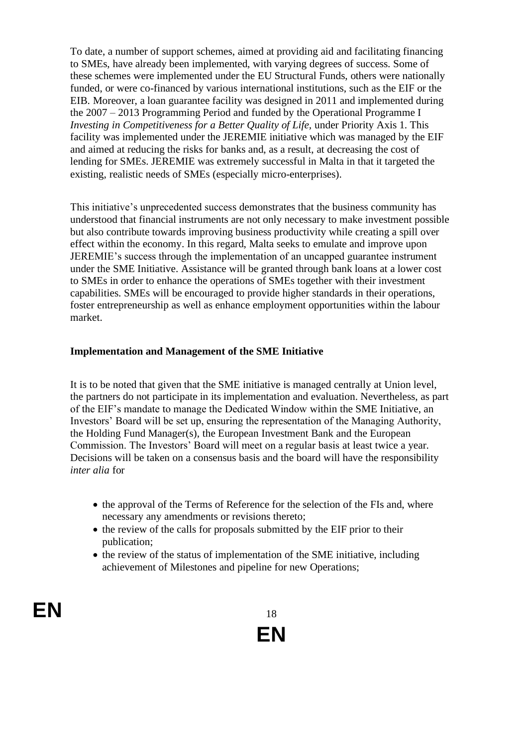To date, a number of support schemes, aimed at providing aid and facilitating financing to SMEs, have already been implemented, with varying degrees of success. Some of these schemes were implemented under the EU Structural Funds, others were nationally funded, or were co-financed by various international institutions, such as the EIF or the EIB. Moreover, a loan guarantee facility was designed in 2011 and implemented during the 2007 – 2013 Programming Period and funded by the Operational Programme I *Investing in Competitiveness for a Better Quality of Life,* under Priority Axis 1. This facility was implemented under the JEREMIE initiative which was managed by the EIF and aimed at reducing the risks for banks and, as a result, at decreasing the cost of lending for SMEs. JEREMIE was extremely successful in Malta in that it targeted the existing, realistic needs of SMEs (especially micro-enterprises).

This initiative's unprecedented success demonstrates that the business community has understood that financial instruments are not only necessary to make investment possible but also contribute towards improving business productivity while creating a spill over effect within the economy. In this regard, Malta seeks to emulate and improve upon JEREMIE's success through the implementation of an uncapped guarantee instrument under the SME Initiative. Assistance will be granted through bank loans at a lower cost to SMEs in order to enhance the operations of SMEs together with their investment capabilities. SMEs will be encouraged to provide higher standards in their operations, foster entrepreneurship as well as enhance employment opportunities within the labour market.

#### **Implementation and Management of the SME Initiative**

It is to be noted that given that the SME initiative is managed centrally at Union level, the partners do not participate in its implementation and evaluation. Nevertheless, as part of the EIF's mandate to manage the Dedicated Window within the SME Initiative, an Investors' Board will be set up, ensuring the representation of the Managing Authority, the Holding Fund Manager(s), the European Investment Bank and the European Commission. The Investors' Board will meet on a regular basis at least twice a year. Decisions will be taken on a consensus basis and the board will have the responsibility *inter alia* for

- the approval of the Terms of Reference for the selection of the FIs and, where necessary any amendments or revisions thereto;
- the review of the calls for proposals submitted by the EIF prior to their publication;
- the review of the status of implementation of the SME initiative, including achievement of Milestones and pipeline for new Operations;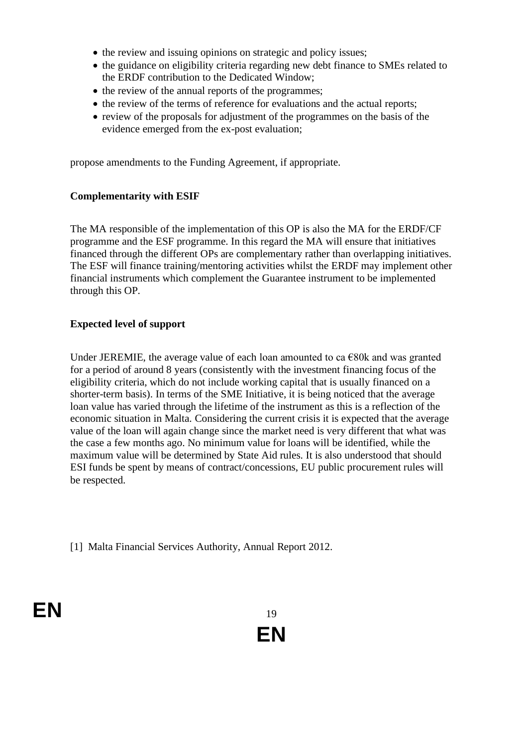- the review and issuing opinions on strategic and policy issues;
- the guidance on eligibility criteria regarding new debt finance to SMEs related to the ERDF contribution to the Dedicated Window;
- the review of the annual reports of the programmes;
- the review of the terms of reference for evaluations and the actual reports;
- review of the proposals for adjustment of the programmes on the basis of the evidence emerged from the ex-post evaluation;

propose amendments to the Funding Agreement, if appropriate.

#### **Complementarity with ESIF**

The MA responsible of the implementation of this OP is also the MA for the ERDF/CF programme and the ESF programme. In this regard the MA will ensure that initiatives financed through the different OPs are complementary rather than overlapping initiatives. The ESF will finance training/mentoring activities whilst the ERDF may implement other financial instruments which complement the Guarantee instrument to be implemented through this OP.

#### **Expected level of support**

Under JEREMIE, the average value of each loan amounted to ca  $\epsilon$ 80k and was granted for a period of around 8 years (consistently with the investment financing focus of the eligibility criteria, which do not include working capital that is usually financed on a shorter-term basis). In terms of the SME Initiative, it is being noticed that the average loan value has varied through the lifetime of the instrument as this is a reflection of the economic situation in Malta. Considering the current crisis it is expected that the average value of the loan will again change since the market need is very different that what was the case a few months ago. No minimum value for loans will be identified, while the maximum value will be determined by State Aid rules. It is also understood that should ESI funds be spent by means of contract/concessions, EU public procurement rules will be respected.

[1] Malta Financial Services Authority, Annual Report 2012.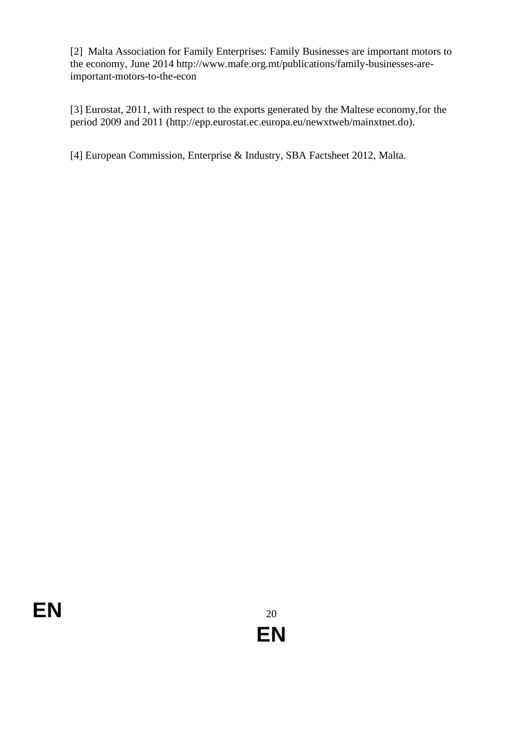[2] Malta Association for Family Enterprises: Family Businesses are important motors to the economy, June 2014 http://www.mafe.org.mt/publications/family-businesses-areimportant-motors-to-the-econ

[3] Eurostat, 2011, with respect to the exports generated by the Maltese economy,for the period 2009 and 2011 (http://epp.eurostat.ec.europa.eu/newxtweb/mainxtnet.do).

[4] European Commission, Enterprise & Industry, SBA Factsheet 2012, Malta.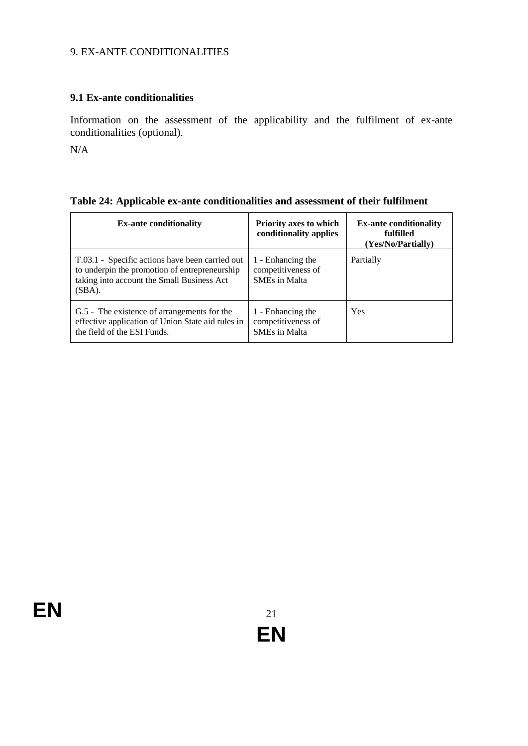## 9. EX-ANTE CONDITIONALITIES

# **9.1 Ex-ante conditionalities**

Information on the assessment of the applicability and the fulfilment of ex-ante conditionalities (optional).

N/A

| Table 24: Applicable ex-ante conditionalities and assessment of their fulfilment |  |  |  |
|----------------------------------------------------------------------------------|--|--|--|
|----------------------------------------------------------------------------------|--|--|--|

| <b>Ex-ante conditionality</b>                                                                                                                            | <b>Priority axes to which</b><br>conditionality applies         | <b>Ex-ante conditionality</b><br>fulfilled<br>(Yes/No/Partially) |
|----------------------------------------------------------------------------------------------------------------------------------------------------------|-----------------------------------------------------------------|------------------------------------------------------------------|
| T.03.1 - Specific actions have been carried out<br>to underpin the promotion of entrepreneurship<br>taking into account the Small Business Act<br>(SBA). | 1 - Enhancing the<br>competitiveness of<br><b>SMEs in Malta</b> | Partially                                                        |
| G.5 - The existence of arrangements for the<br>effective application of Union State aid rules in<br>the field of the ESI Funds.                          | 1 - Enhancing the<br>competitiveness of<br><b>SMEs in Malta</b> | Yes                                                              |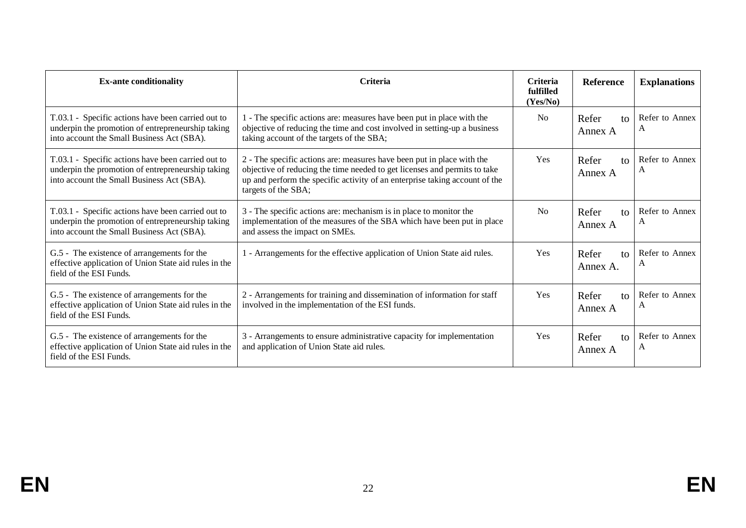| <b>Ex-ante conditionality</b>                                                                                                                         | <b>Criteria</b>                                                                                                                                                                                                                                           | <b>Criteria</b><br>fulfilled<br>(Yes/No) | <b>Reference</b>                  | <b>Explanations</b> |
|-------------------------------------------------------------------------------------------------------------------------------------------------------|-----------------------------------------------------------------------------------------------------------------------------------------------------------------------------------------------------------------------------------------------------------|------------------------------------------|-----------------------------------|---------------------|
| T.03.1 - Specific actions have been carried out to<br>underpin the promotion of entrepreneurship taking<br>into account the Small Business Act (SBA). | - The specific actions are: measures have been put in place with the<br>objective of reducing the time and cost involved in setting-up a business<br>taking account of the targets of the SBA;                                                            | <b>No</b>                                | Refer<br>$\mathsf{to}$<br>Annex A | Refer to Annex<br>A |
| T.03.1 - Specific actions have been carried out to<br>underpin the promotion of entrepreneurship taking<br>into account the Small Business Act (SBA). | 2 - The specific actions are: measures have been put in place with the<br>objective of reducing the time needed to get licenses and permits to take<br>up and perform the specific activity of an enterprise taking account of the<br>targets of the SBA; | Yes                                      | Refer<br>$\mathbf{f}$<br>Annex A  | Refer to Annex<br>A |
| T.03.1 - Specific actions have been carried out to<br>underpin the promotion of entrepreneurship taking<br>into account the Small Business Act (SBA). | 3 - The specific actions are: mechanism is in place to monitor the<br>implementation of the measures of the SBA which have been put in place<br>and assess the impact on SMEs.                                                                            | N <sub>0</sub>                           | Refer<br>to<br>Annex A            | Refer to Annex<br>А |
| G.5 - The existence of arrangements for the<br>effective application of Union State aid rules in the<br>field of the ESI Funds.                       | - Arrangements for the effective application of Union State aid rules.                                                                                                                                                                                    | Yes                                      | Refer<br>to<br>Annex A.           | Refer to Annex<br>A |
| G.5 - The existence of arrangements for the<br>effective application of Union State aid rules in the<br>field of the ESI Funds.                       | 2 - Arrangements for training and dissemination of information for staff<br>involved in the implementation of the ESI funds.                                                                                                                              | Yes                                      | Refer<br>$\mathsf{to}$<br>Annex A | Refer to Annex<br>А |
| G.5 - The existence of arrangements for the<br>effective application of Union State aid rules in the<br>field of the ESI Funds.                       | 3 - Arrangements to ensure administrative capacity for implementation<br>and application of Union State aid rules.                                                                                                                                        | Yes                                      | Refer<br>to<br>Annex A            | Refer to Annex<br>A |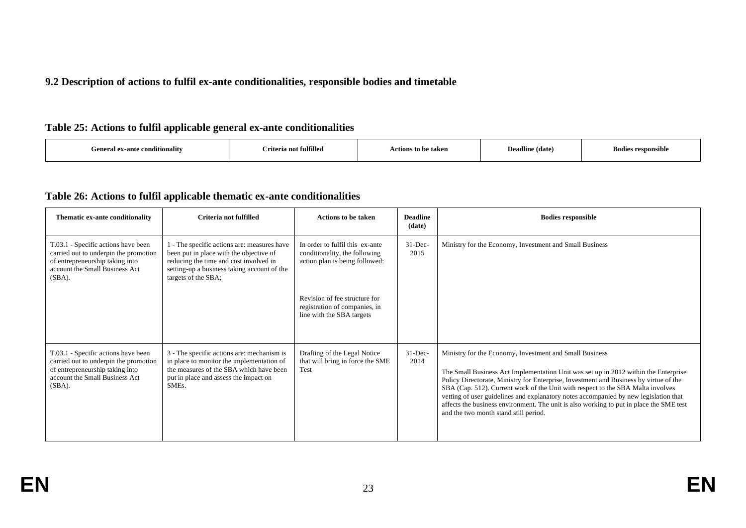#### **9.2 Description of actions to fulfil ex-ante conditionalities, responsible bodies and timetable**

### **Table 25: Actions to fulfil applicable general ex-ante conditionalities**

| Criteria not fulfilled<br>$\cdots$<br>General ex-ante conditionality | Actions to be taken | Deadline (date) | <b>Bodies responsible</b> |
|----------------------------------------------------------------------|---------------------|-----------------|---------------------------|
|----------------------------------------------------------------------|---------------------|-----------------|---------------------------|

### **Table 26: Actions to fulfil applicable thematic ex-ante conditionalities**

| Thematic ex-ante conditionality                                                                                                                                | Criteria not fulfilled                                                                                                                                                                                 | <b>Actions to be taken</b>                                                                         | <b>Deadline</b><br>(date) | <b>Bodies responsible</b>                                                                                                                                                                                                                                                                                                                                                                                                                                                                                                                              |
|----------------------------------------------------------------------------------------------------------------------------------------------------------------|--------------------------------------------------------------------------------------------------------------------------------------------------------------------------------------------------------|----------------------------------------------------------------------------------------------------|---------------------------|--------------------------------------------------------------------------------------------------------------------------------------------------------------------------------------------------------------------------------------------------------------------------------------------------------------------------------------------------------------------------------------------------------------------------------------------------------------------------------------------------------------------------------------------------------|
| T.03.1 - Specific actions have been<br>carried out to underpin the promotion<br>of entrepreneurship taking into<br>account the Small Business Act<br>$(SBA)$ . | 1 - The specific actions are: measures have<br>been put in place with the objective of<br>reducing the time and cost involved in<br>setting-up a business taking account of the<br>targets of the SBA; | In order to fulfil this ex-ante<br>conditionality, the following<br>action plan is being followed: | $31$ -Dec-<br>2015        | Ministry for the Economy, Investment and Small Business                                                                                                                                                                                                                                                                                                                                                                                                                                                                                                |
|                                                                                                                                                                |                                                                                                                                                                                                        | Revision of fee structure for<br>registration of companies, in<br>line with the SBA targets        |                           |                                                                                                                                                                                                                                                                                                                                                                                                                                                                                                                                                        |
| T.03.1 - Specific actions have been<br>carried out to underpin the promotion<br>of entrepreneurship taking into<br>account the Small Business Act<br>$(SBA)$ . | 3 - The specific actions are: mechanism is<br>in place to monitor the implementation of<br>the measures of the SBA which have been<br>put in place and assess the impact on<br>SME <sub>s</sub> .      | Drafting of the Legal Notice<br>that will bring in force the SME<br>Test                           | $31 - Dec-$<br>2014       | Ministry for the Economy, Investment and Small Business<br>The Small Business Act Implementation Unit was set up in 2012 within the Enterprise<br>Policy Directorate, Ministry for Enterprise, Investment and Business by virtue of the<br>SBA (Cap. 512). Current work of the Unit with respect to the SBA Malta involves<br>vetting of user guidelines and explanatory notes accompanied by new legislation that<br>affects the business environment. The unit is also working to put in place the SME test<br>and the two month stand still period. |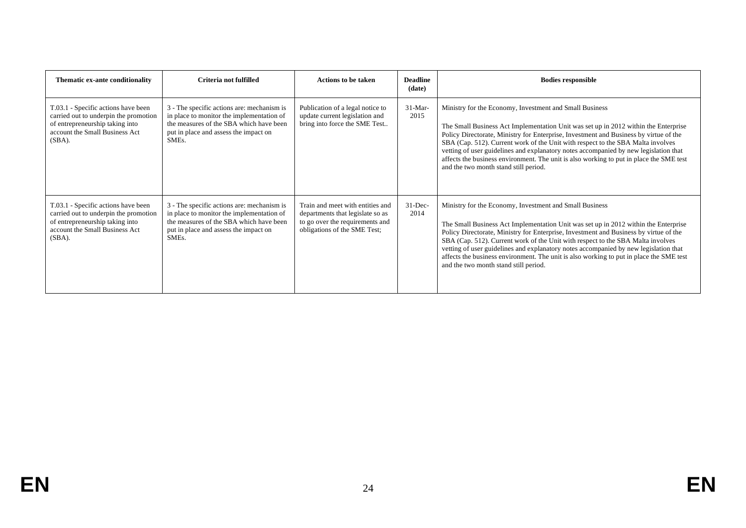| Thematic ex-ante conditionality                                                                                                                                | Criteria not fulfilled                                                                                                                                                                            | <b>Actions to be taken</b>                                                                                                              | <b>Deadline</b><br>(date) | <b>Bodies responsible</b>                                                                                                                                                                                                                                                                                                                                                                                                                                                                                                                              |
|----------------------------------------------------------------------------------------------------------------------------------------------------------------|---------------------------------------------------------------------------------------------------------------------------------------------------------------------------------------------------|-----------------------------------------------------------------------------------------------------------------------------------------|---------------------------|--------------------------------------------------------------------------------------------------------------------------------------------------------------------------------------------------------------------------------------------------------------------------------------------------------------------------------------------------------------------------------------------------------------------------------------------------------------------------------------------------------------------------------------------------------|
| T.03.1 - Specific actions have been<br>carried out to underpin the promotion<br>of entrepreneurship taking into<br>account the Small Business Act<br>$(SBA)$ . | 3 - The specific actions are: mechanism is<br>in place to monitor the implementation of<br>the measures of the SBA which have been<br>put in place and assess the impact on<br>SME <sub>s</sub> . | Publication of a legal notice to<br>update current legislation and<br>bring into force the SME Test                                     | $31-Mar-$<br>2015         | Ministry for the Economy, Investment and Small Business<br>The Small Business Act Implementation Unit was set up in 2012 within the Enterprise<br>Policy Directorate, Ministry for Enterprise, Investment and Business by virtue of the<br>SBA (Cap. 512). Current work of the Unit with respect to the SBA Malta involves<br>vetting of user guidelines and explanatory notes accompanied by new legislation that<br>affects the business environment. The unit is also working to put in place the SME test<br>and the two month stand still period. |
| T.03.1 - Specific actions have been<br>carried out to underpin the promotion<br>of entrepreneurship taking into<br>account the Small Business Act<br>$(SBA)$ . | 3 - The specific actions are: mechanism is<br>in place to monitor the implementation of<br>the measures of the SBA which have been<br>put in place and assess the impact on<br>SME <sub>s</sub> . | Train and meet with entities and<br>departments that legislate so as<br>to go over the requirements and<br>obligations of the SME Test; | $31$ -Dec-<br>2014        | Ministry for the Economy, Investment and Small Business<br>The Small Business Act Implementation Unit was set up in 2012 within the Enterprise<br>Policy Directorate, Ministry for Enterprise, Investment and Business by virtue of the<br>SBA (Cap. 512). Current work of the Unit with respect to the SBA Malta involves<br>vetting of user guidelines and explanatory notes accompanied by new legislation that<br>affects the business environment. The unit is also working to put in place the SME test<br>and the two month stand still period. |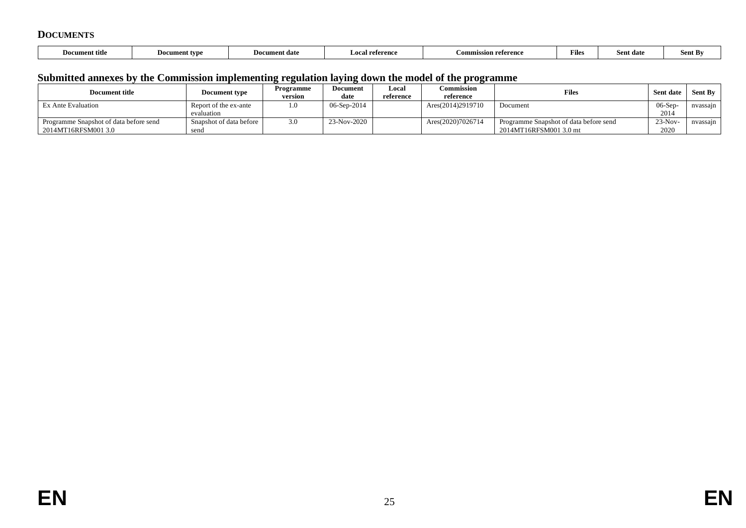### **DOCUMENTS**

| <b>Document title</b> | Document type | <b>Document date</b> | Local reference | on referenc<br><b>Commissi</b> | r nes | Sent date | Sent By |
|-----------------------|---------------|----------------------|-----------------|--------------------------------|-------|-----------|---------|
|-----------------------|---------------|----------------------|-----------------|--------------------------------|-------|-----------|---------|

# **Submitted annexes by the Commission implementing regulation laying down the model of the programme**

| <b>Document title</b>                                         | <b>Document type</b>                | Programme<br>version | Document<br>date   | Local<br>reference | Commission<br>reference | <b>Files</b>                                                     | Sent date          | Sent By               |
|---------------------------------------------------------------|-------------------------------------|----------------------|--------------------|--------------------|-------------------------|------------------------------------------------------------------|--------------------|-----------------------|
| <b>Ex Ante Evaluation</b>                                     | Report of the ex-ante<br>evaluation | 1.0                  | $06 -$ Sep $-2014$ |                    | Ares(2014)2919710       | Document                                                         | $06-Sep$<br>2014   | nvassa <sub>l</sub> n |
| Programme Snapshot of data before send<br>2014MT16RFSM001 3.0 | Snapshot of data before<br>send     | 3.0                  | $23-Nov-2020$      |                    | Ares(2020)7026714       | Programme Snapshot of data before send<br>2014MT16RFSM001 3.0 mt | $23-Nov -$<br>2020 | nvassajn              |